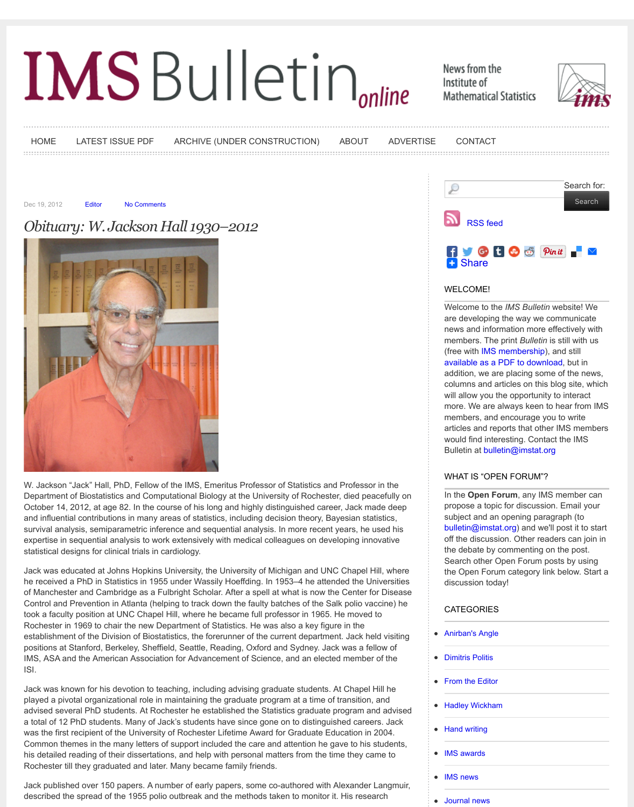

[W. Jackso](http://bulletin.imstat.org/category/obituary/)n "Jack" Hall, PhD, Fellow of the IMS, Emeritus Professor of Statistics and Professor in the Department of [Biosta](http://bulletin.imstat.org/)tistics [and Compu](http://bulletin.imstat.org/2012/12/obituary-w-jackson-hall-1930%e2%80%932012/#respond)tational Biology at the University of Rochester, died peacefull October 14, 2012, at age 82. In the course of his long and highly distinguished career, Jack made de [and influential contributions in many areas of statistics, includin](http://bulletin.imstat.org/2012/12/obituary-w-jackson-hall-1930%e2%80%932012/)g decision theory, Bayesian statistics, survival analysis, semiparametric inference and sequential analysis. In more recent years, he used h expertise in sequential analysis to work extensively with medical colleagues on developing innovative statistical designs for clinical trials in cardiology.

Jack was educated at Johns Hopkins University, the University of Michigan and UNC Chapel Hill, wh he received a PhD in Statistics in 1955 under Wassily Hoeffding. In 1953–4 he attended the Universities of Manchester and Cambridge as a Fulbright Scholar. After a spell at what is now the Center for Dise Control and Prevention in Atlanta (helping to track down the faulty batches of the Salk polio vaccine) took a faculty position at UNC Chapel Hill, where he became full professor in 1965. He moved to Rochester in 1969 to chair the new Department of Statistics. He was also a key figure in the establishment of the Division of Biostatistics, the forerunner of the current department. Jack held visiting positions at Stanford, Berkeley, Sheffield, Seattle, Reading, Oxford and Sydney. Jack was a fellow of IMS, ASA and the American Association for Advancement of Science, and an elected member of the ISI.

Jack was known for his devotion to teaching, including advising graduate students. At Chapel Hill he played a pivotal organizational role in maintaining the graduate program at a time of transition, and advised several PhD students. At Rochester he established the Statistics graduate program and adv [a total of 12 PhD students. Many of Jack's students h](http://bulletin.imstat.org/wp-content/uploads/42_01-Jack-Hall.jpg)ave since gone on to distinguished careers. Jack was the first recipient of the University of Rochester Lifetime Award for Graduate Education in 2004. Common themes in the many letters of support included the care and attention he gave to his studer his detailed reading of their dissertations, and help with personal matters from the time they came to Rochester till they graduated and later. Many became family friends.

Jack published over 150 papers. A number of early papers, some co-authored with Alexander Langr described the spread of the 1955 polio outbreak and the methods taken to monitor it. His research